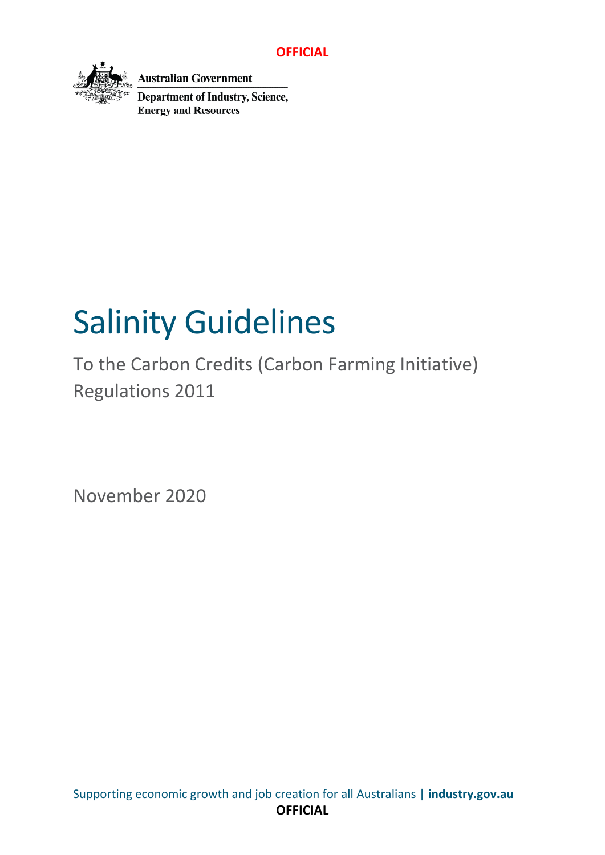<span id="page-0-0"></span>

**Australian Government** 

**Department of Industry, Science, Energy and Resources** 

# Salinity Guidelines

To the Carbon Credits (Carbon Farming Initiative) Regulations 2011

November 2020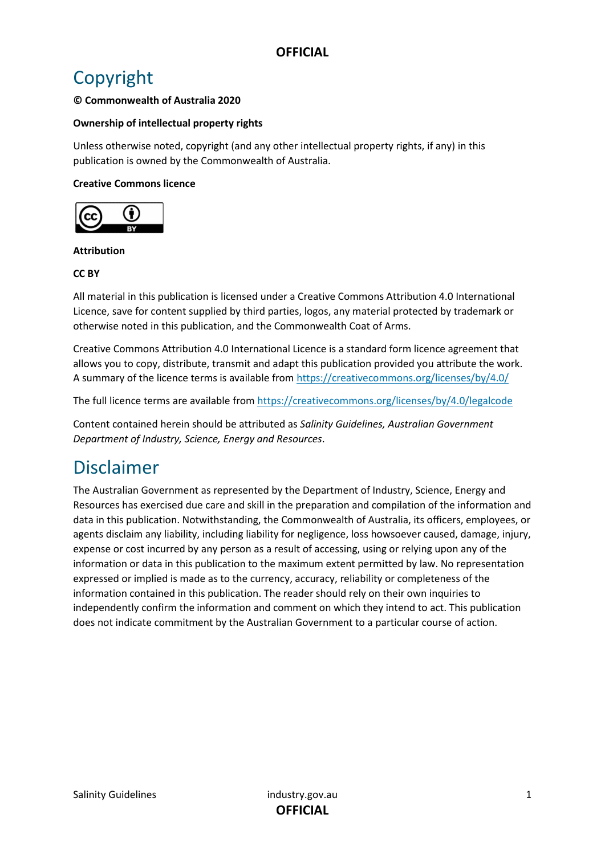# <span id="page-1-0"></span>Copyright

#### **© Commonwealth of Australia 2020**

#### **Ownership of intellectual property rights**

Unless otherwise noted, copyright (and any other intellectual property rights, if any) in this publication is owned by the Commonwealth of Australia.

#### **Creative Commons licence**



#### **Attribution**

#### **CC BY**

All material in this publication is licensed under a Creative Commons Attribution 4.0 International Licence, save for content supplied by third parties, logos, any material protected by trademark or otherwise noted in this publication, and the Commonwealth Coat of Arms.

Creative Commons Attribution 4.0 International Licence is a standard form licence agreement that allows you to copy, distribute, transmit and adapt this publication provided you attribute the work. A summary of the licence terms is available from<https://creativecommons.org/licenses/by/4.0/>

The full licence terms are available from<https://creativecommons.org/licenses/by/4.0/legalcode>

Content contained herein should be attributed as *Salinity Guidelines, Australian Government Department of Industry, Science, Energy and Resources*.

### <span id="page-1-1"></span>Disclaimer

The Australian Government as represented by the Department of Industry, Science, Energy and Resources has exercised due care and skill in the preparation and compilation of the information and data in this publication. Notwithstanding, the Commonwealth of Australia, its officers, employees, or agents disclaim any liability, including liability for negligence, loss howsoever caused, damage, injury, expense or cost incurred by any person as a result of accessing, using or relying upon any of the information or data in this publication to the maximum extent permitted by law. No representation expressed or implied is made as to the currency, accuracy, reliability or completeness of the information contained in this publication. The reader should rely on their own inquiries to independently confirm the information and comment on which they intend to act. This publication does not indicate commitment by the Australian Government to a particular course of action.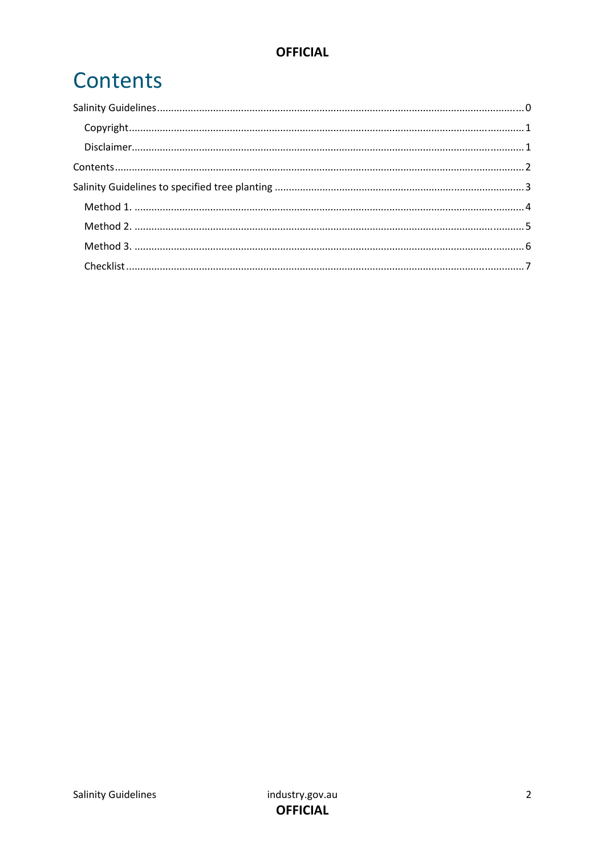#### **OFFICIAL**

# <span id="page-2-0"></span>**Contents**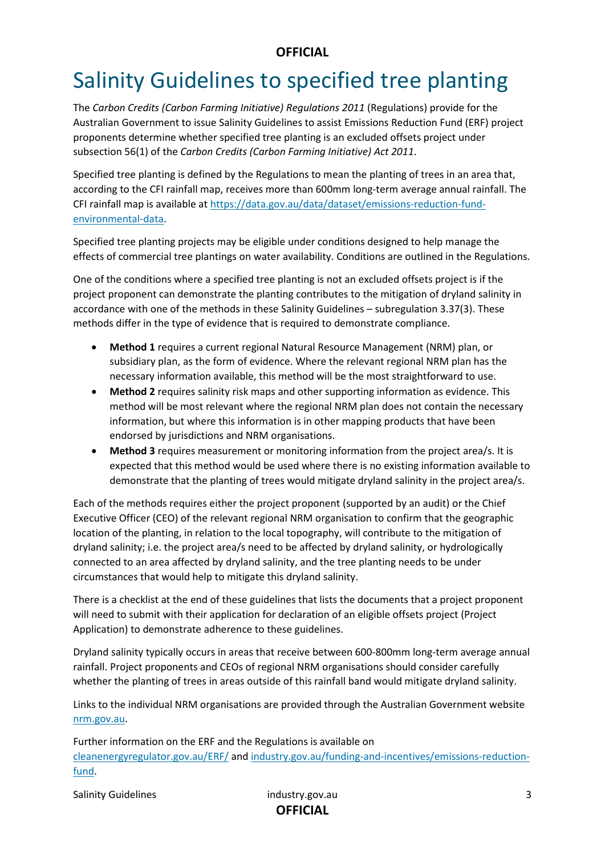#### **OFFICIAL**

# <span id="page-3-0"></span>Salinity Guidelines to specified tree planting

The *Carbon Credits (Carbon Farming Initiative) Regulations 2011* (Regulations) provide for the Australian Government to issue Salinity Guidelines to assist Emissions Reduction Fund (ERF) project proponents determine whether specified tree planting is an excluded offsets project under subsection 56(1) of the *Carbon Credits (Carbon Farming Initiative) Act 2011*.

Specified tree planting is defined by the Regulations to mean the planting of trees in an area that, according to the CFI rainfall map, receives more than 600mm long-term average annual rainfall. The CFI rainfall map is available at [https://data.gov.au/data/dataset/emissions-reduction-fund](https://data.gov.au/data/dataset/emissions-reduction-fund-environmental-data)[environmental-data.](https://data.gov.au/data/dataset/emissions-reduction-fund-environmental-data)

Specified tree planting projects may be eligible under conditions designed to help manage the effects of commercial tree plantings on water availability. Conditions are outlined in the Regulations.

One of the conditions where a specified tree planting is not an excluded offsets project is if the project proponent can demonstrate the planting contributes to the mitigation of dryland salinity in accordance with one of the methods in these Salinity Guidelines – subregulation 3.37(3). These methods differ in the type of evidence that is required to demonstrate compliance.

- **Method 1** requires a current regional Natural Resource Management (NRM) plan, or subsidiary plan, as the form of evidence. Where the relevant regional NRM plan has the necessary information available, this method will be the most straightforward to use.
- **Method 2** requires salinity risk maps and other supporting information as evidence. This method will be most relevant where the regional NRM plan does not contain the necessary information, but where this information is in other mapping products that have been endorsed by jurisdictions and NRM organisations.
- **Method 3** requires measurement or monitoring information from the project area/s. It is expected that this method would be used where there is no existing information available to demonstrate that the planting of trees would mitigate dryland salinity in the project area/s.

Each of the methods requires either the project proponent (supported by an audit) or the Chief Executive Officer (CEO) of the relevant regional NRM organisation to confirm that the geographic location of the planting, in relation to the local topography, will contribute to the mitigation of dryland salinity; i.e. the project area/s need to be affected by dryland salinity, or hydrologically connected to an area affected by dryland salinity, and the tree planting needs to be under circumstances that would help to mitigate this dryland salinity.

There is a checklist at the end of these guidelines that lists the documents that a project proponent will need to submit with their application for declaration of an eligible offsets project (Project Application) to demonstrate adherence to these guidelines.

Dryland salinity typically occurs in areas that receive between 600-800mm long-term average annual rainfall. Project proponents and CEOs of regional NRM organisations should consider carefully whether the planting of trees in areas outside of this rainfall band would mitigate dryland salinity.

Links to the individual NRM organisations are provided through the Australian Government website [nrm.gov.au.](http://www.nrm.gov.au/)

Further information on the ERF and the Regulations is available on [cleanenergyregulator.gov.au/ERF/](http://www.cleanenergyregulator.gov.au/ERF/) and [industry.gov.au/funding-and-incentives/emissions-reduction](https://www.industry.gov.au/funding-and-incentives/emissions-reduction-fund)[fund.](https://www.industry.gov.au/funding-and-incentives/emissions-reduction-fund)

Salinity Guidelines and the state of the industry.gov.au 3 and 3 and 3 3 and 3 and 3 and 3 and 3 and 3 and 3 and 3 and 3 and 3 and 3 and 3 and 3 and 3 and 3 and 3 and 3 and 3 and 3 and 3 and 3 and 3 and 3 and 3 and 3 and 3

**OFFICIAL**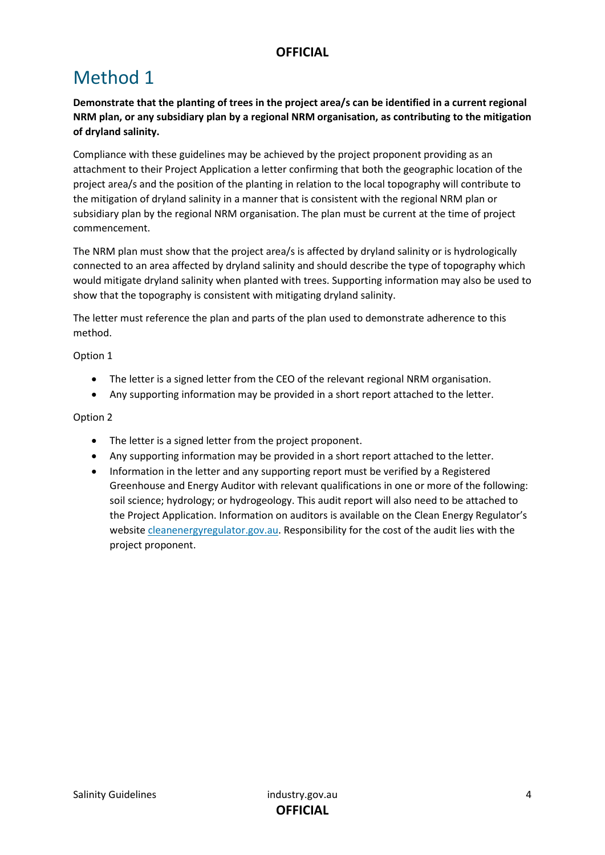# <span id="page-4-0"></span>Method 1

**Demonstrate that the planting of trees in the project area/s can be identified in a current regional NRM plan, or any subsidiary plan by a regional NRM organisation, as contributing to the mitigation of dryland salinity.** 

Compliance with these guidelines may be achieved by the project proponent providing as an attachment to their Project Application a letter confirming that both the geographic location of the project area/s and the position of the planting in relation to the local topography will contribute to the mitigation of dryland salinity in a manner that is consistent with the regional NRM plan or subsidiary plan by the regional NRM organisation. The plan must be current at the time of project commencement.

The NRM plan must show that the project area/s is affected by dryland salinity or is hydrologically connected to an area affected by dryland salinity and should describe the type of topography which would mitigate dryland salinity when planted with trees. Supporting information may also be used to show that the topography is consistent with mitigating dryland salinity.

The letter must reference the plan and parts of the plan used to demonstrate adherence to this method.

#### Option 1

- The letter is a signed letter from the CEO of the relevant regional NRM organisation.
- Any supporting information may be provided in a short report attached to the letter.

#### Option 2

- The letter is a signed letter from the project proponent.
- Any supporting information may be provided in a short report attached to the letter.
- Information in the letter and any supporting report must be verified by a Registered Greenhouse and Energy Auditor with relevant qualifications in one or more of the following: soil science; hydrology; or hydrogeology. This audit report will also need to be attached to the Project Application. Information on auditors is available on the Clean Energy Regulator's websit[e cleanenergyregulator.gov.au.](http://www.cleanenergyregulator.gov.au/Infohub/Audits/register-of-auditors) Responsibility for the cost of the audit lies with the project proponent.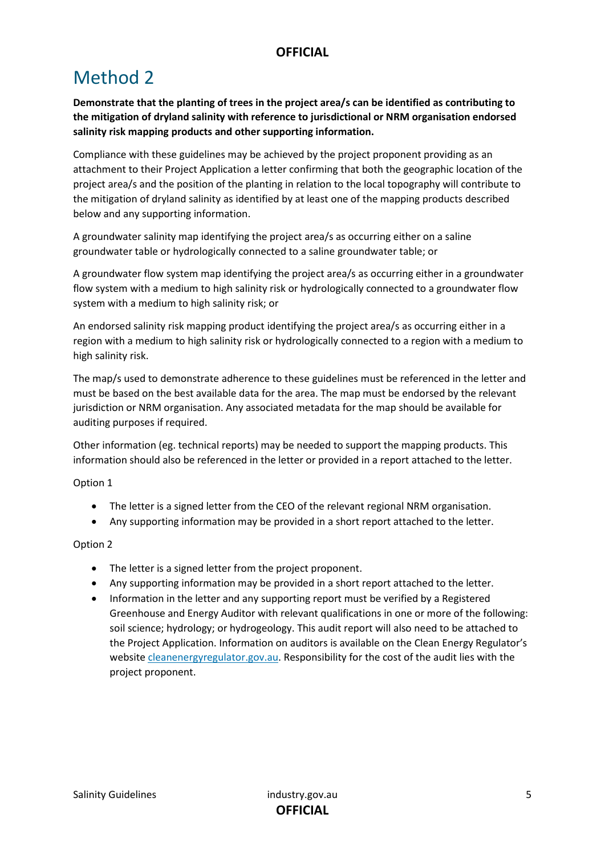# <span id="page-5-0"></span>Method 2

**Demonstrate that the planting of trees in the project area/s can be identified as contributing to the mitigation of dryland salinity with reference to jurisdictional or NRM organisation endorsed salinity risk mapping products and other supporting information.** 

Compliance with these guidelines may be achieved by the project proponent providing as an attachment to their Project Application a letter confirming that both the geographic location of the project area/s and the position of the planting in relation to the local topography will contribute to the mitigation of dryland salinity as identified by at least one of the mapping products described below and any supporting information.

A groundwater salinity map identifying the project area/s as occurring either on a saline groundwater table or hydrologically connected to a saline groundwater table; or

A groundwater flow system map identifying the project area/s as occurring either in a groundwater flow system with a medium to high salinity risk or hydrologically connected to a groundwater flow system with a medium to high salinity risk; or

An endorsed salinity risk mapping product identifying the project area/s as occurring either in a region with a medium to high salinity risk or hydrologically connected to a region with a medium to high salinity risk.

The map/s used to demonstrate adherence to these guidelines must be referenced in the letter and must be based on the best available data for the area. The map must be endorsed by the relevant jurisdiction or NRM organisation. Any associated metadata for the map should be available for auditing purposes if required.

Other information (eg. technical reports) may be needed to support the mapping products. This information should also be referenced in the letter or provided in a report attached to the letter.

Option 1

- The letter is a signed letter from the CEO of the relevant regional NRM organisation.
- Any supporting information may be provided in a short report attached to the letter.

Option 2

- The letter is a signed letter from the project proponent.
- Any supporting information may be provided in a short report attached to the letter.
- Information in the letter and any supporting report must be verified by a Registered Greenhouse and Energy Auditor with relevant qualifications in one or more of the following: soil science; hydrology; or hydrogeology. This audit report will also need to be attached to the Project Application. Information on auditors is available on the Clean Energy Regulator's websit[e cleanenergyregulator.gov.au.](http://www.cleanenergyregulator.gov.au/Infohub/Audits/register-of-auditors) Responsibility for the cost of the audit lies with the project proponent.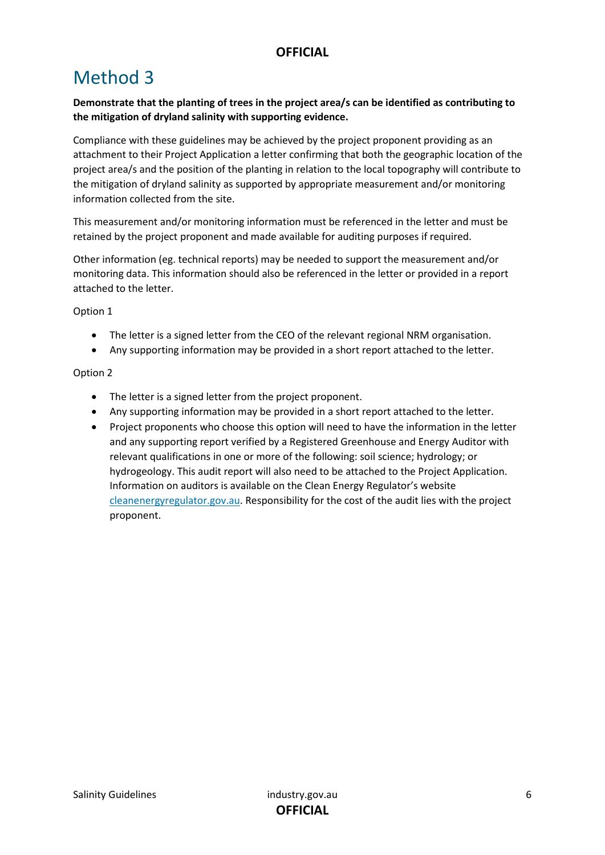# <span id="page-6-0"></span>Method 3

#### **Demonstrate that the planting of trees in the project area/s can be identified as contributing to the mitigation of dryland salinity with supporting evidence.**

Compliance with these guidelines may be achieved by the project proponent providing as an attachment to their Project Application a letter confirming that both the geographic location of the project area/s and the position of the planting in relation to the local topography will contribute to the mitigation of dryland salinity as supported by appropriate measurement and/or monitoring information collected from the site.

This measurement and/or monitoring information must be referenced in the letter and must be retained by the project proponent and made available for auditing purposes if required.

Other information (eg. technical reports) may be needed to support the measurement and/or monitoring data. This information should also be referenced in the letter or provided in a report attached to the letter.

Option 1

- The letter is a signed letter from the CEO of the relevant regional NRM organisation.
- Any supporting information may be provided in a short report attached to the letter.

#### Option 2

- The letter is a signed letter from the project proponent.
- Any supporting information may be provided in a short report attached to the letter.
- Project proponents who choose this option will need to have the information in the letter and any supporting report verified by a Registered Greenhouse and Energy Auditor with relevant qualifications in one or more of the following: soil science; hydrology; or hydrogeology. This audit report will also need to be attached to the Project Application. Information on auditors is available on the Clean Energy Regulator's website [cleanenergyregulator.gov.au.](http://www.cleanenergyregulator.gov.au/Infohub/Audits/register-of-auditors) Responsibility for the cost of the audit lies with the project proponent.